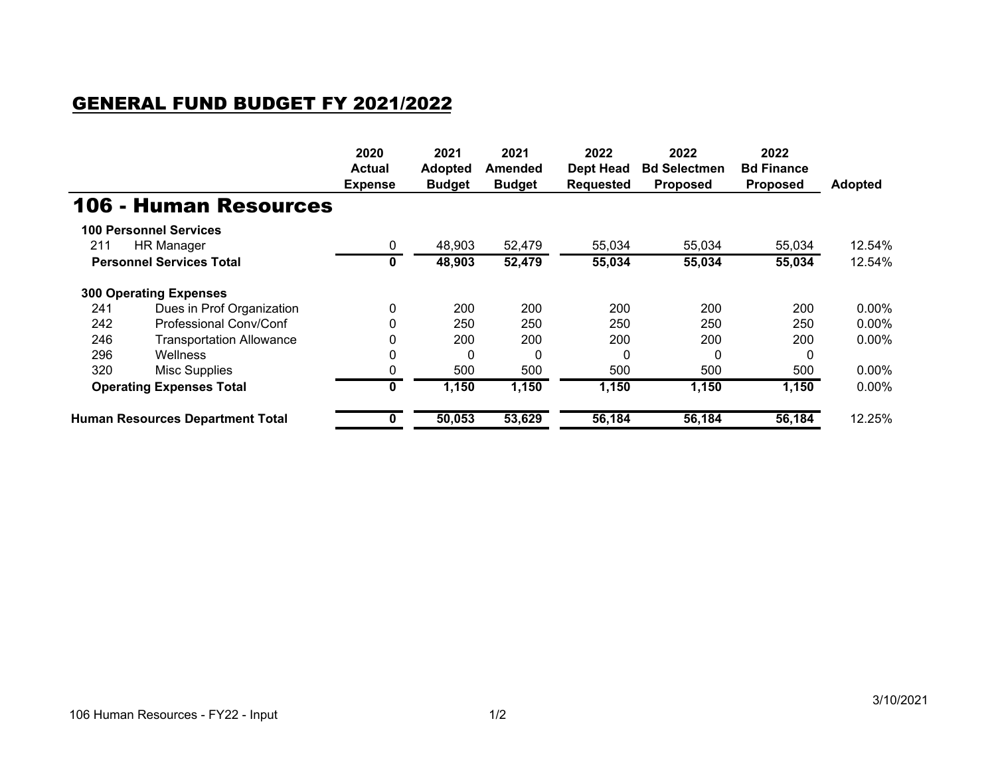## GENERAL FUND BUDGET FY 2021/2022

|                                         |                                 | 2020<br><b>Actual</b><br><b>Expense</b> | 2021<br><b>Adopted</b><br><b>Budget</b> | 2021<br>Amended<br><b>Budget</b> | 2022<br><b>Dept Head</b><br>Requested | 2022<br><b>Bd Selectmen</b><br><b>Proposed</b> | 2022<br><b>Bd Finance</b><br><b>Proposed</b> | <b>Adopted</b> |
|-----------------------------------------|---------------------------------|-----------------------------------------|-----------------------------------------|----------------------------------|---------------------------------------|------------------------------------------------|----------------------------------------------|----------------|
|                                         | <b>106 - Human Resources</b>    |                                         |                                         |                                  |                                       |                                                |                                              |                |
|                                         | <b>100 Personnel Services</b>   |                                         |                                         |                                  |                                       |                                                |                                              |                |
| 211                                     | HR Manager                      | 0                                       | 48,903                                  | 52,479                           | 55,034                                | 55,034                                         | 55,034                                       | 12.54%         |
|                                         | <b>Personnel Services Total</b> | 0                                       | 48,903                                  | 52,479                           | 55,034                                | 55,034                                         | 55,034                                       | 12.54%         |
|                                         | <b>300 Operating Expenses</b>   |                                         |                                         |                                  |                                       |                                                |                                              |                |
| 241                                     | Dues in Prof Organization       | $\Omega$                                | 200                                     | 200                              | 200                                   | 200                                            | 200                                          | 0.00%          |
| 242                                     | Professional Conv/Conf          |                                         | 250                                     | 250                              | 250                                   | 250                                            | 250                                          | 0.00%          |
| 246                                     | <b>Transportation Allowance</b> |                                         | 200                                     | 200                              | 200                                   | 200                                            | 200                                          | 0.00%          |
| 296                                     | Wellness                        |                                         | $\Omega$                                | 0                                | 0                                     | $\Omega$                                       | 0                                            |                |
| 320                                     | Misc Supplies                   |                                         | 500                                     | 500                              | 500                                   | 500                                            | 500                                          | 0.00%          |
| <b>Operating Expenses Total</b>         |                                 | 0                                       | 1,150                                   | 1,150                            | 1,150                                 | 1,150                                          | 1,150                                        | 0.00%          |
| <b>Human Resources Department Total</b> |                                 |                                         | 50,053                                  | 53,629                           | 56,184                                | 56,184                                         | 56,184                                       | 12.25%         |